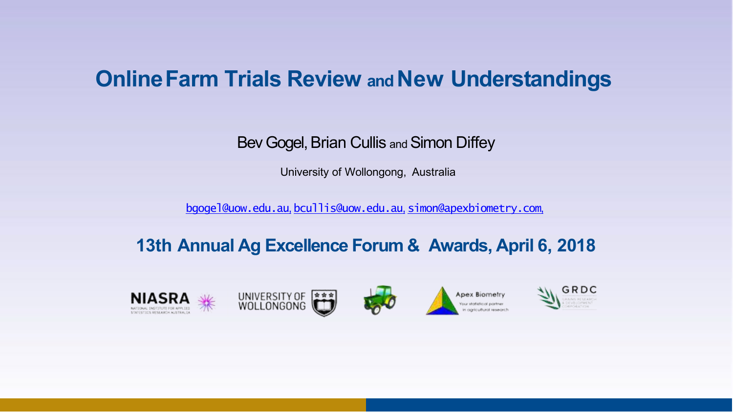# **OnlineFarm Trials Review and New Understandings**

Bev Gogel, Brian Cullis and Simon Diffey

University of Wollongong, Australia

[bgogel@uow.edu.au](mailto:bgogel@uow.edu.au), [bcullis@uow.edu.au](mailto:bcullis@uow.edu.au), [simon@apexbiometry.com](mailto:simon@apexbiometry.com),

# **13th Annual Ag Excellence Forum & Awards, April 6, 2018**

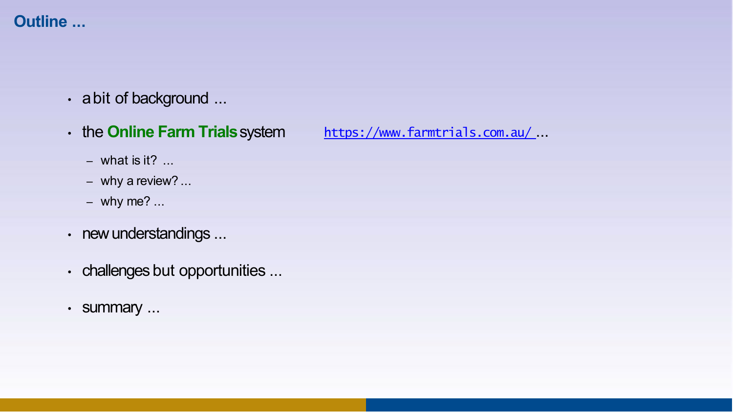# **Outline ...**

- a bit of background ...
- the **Online Farm Trials**system

[https://www.farmtrials.com.au/](http://www.farmtrials.com.au/) ...

- $-$  what is it? ...
- why a review? ...
- why me?  $\ldots$
- new understandings ...
- challenges but opportunities ...
- summary ...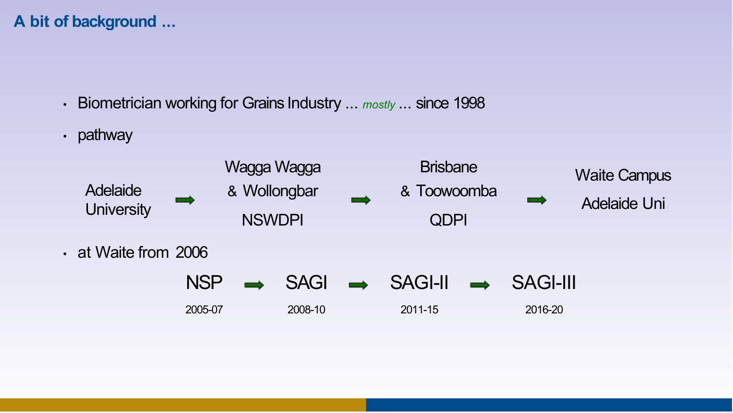## **A bit of background ...**

- Biometrician working for Grains Industry ... *mostly* ... since 1998
- pathway

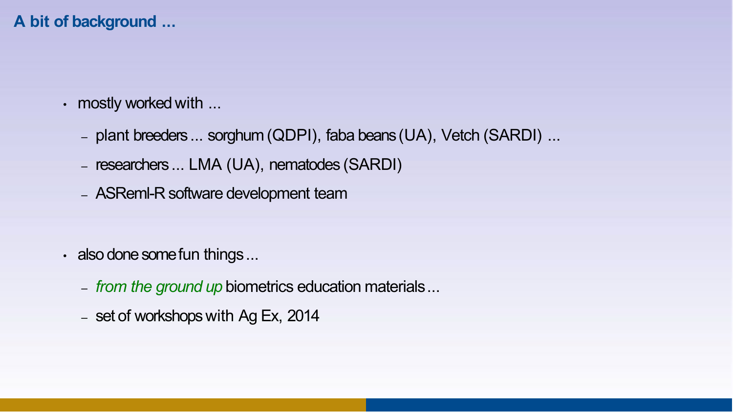## **A bit of background ...**

- mostly worked with ...
	- plant breeders ... sorghum (QDPI), faba beans (UA), Vetch (SARDI) ...
	- researchers ... LMA (UA), nematodes (SARDI)
	- ASReml-R software development team

- also done some fun things...
	- *from the ground up* biometrics education materials...
	- set of workshops with Ag Ex, 2014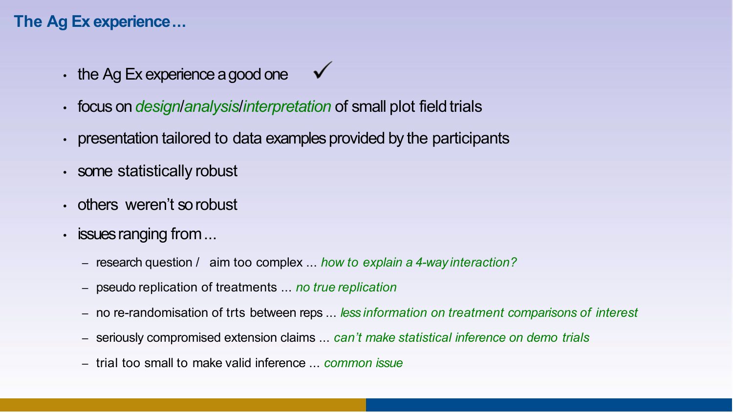- $\cdot$  the Ag Ex experience a good one  $\checkmark$
- focus on *designlanalysislinterpretation* of small plot field trials
- presentation tailored to data examples provided by the participants
- some statistically robust
- others weren't sorobust
- issues ranging from...
	- research question / aim too complex ... *how to explain a 4-way interaction?*
	- pseudo replication of treatments ... *no true replication*
	- no re-randomisation of trts between reps ... *less information on treatment comparisons of interest*
	- seriously compromised extension claims ... *can't make statistical inference on demo trials*
	- trial too small to make valid inference ... *common issue*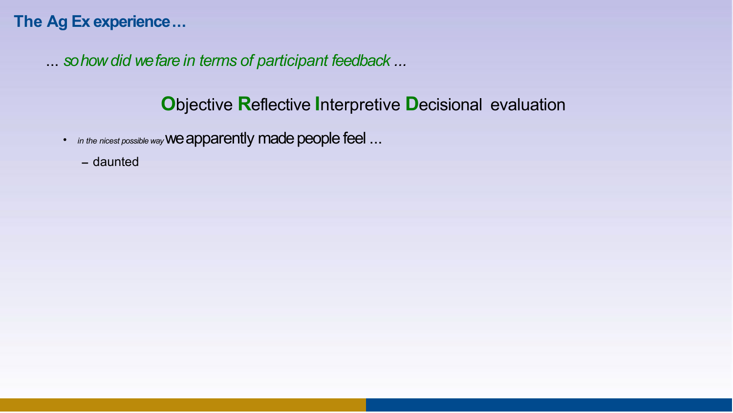... *so how did we fare in terms of participant feedback ...*

- *in the nicest possible way* we apparently made people feel ...
	- **–** daunted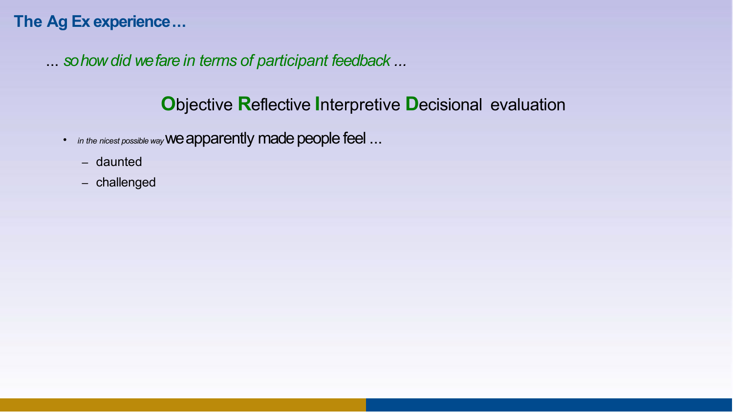... *so how did we fare in terms of participant feedback ...*

- *in the nicest possible way* we apparently made people feel ...
	- daunted
	- challenged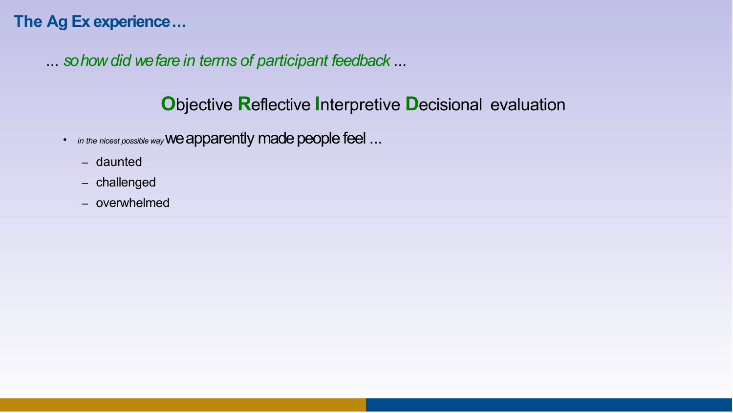... *so how did we fare in terms of participant feedback ...*

- *in the nicest possible way* we apparently made people feel ...
	- daunted
	- challenged
	- overwhelmed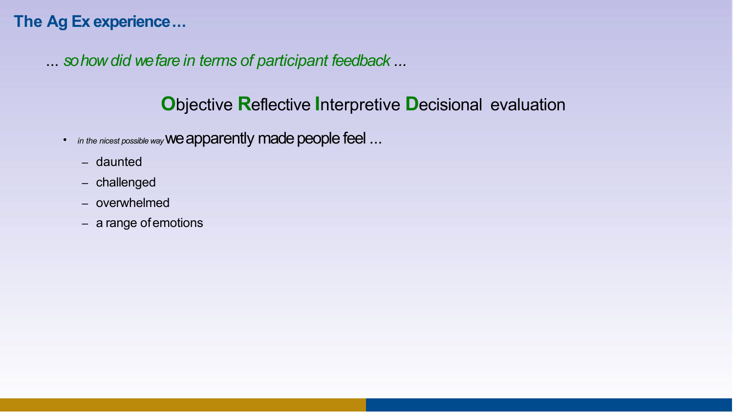... *so how did we fare in terms of participant feedback ...*

- *in the nicest possible way* we apparently made people feel ...
	- daunted
	- challenged
	- overwhelmed
	- a range ofemotions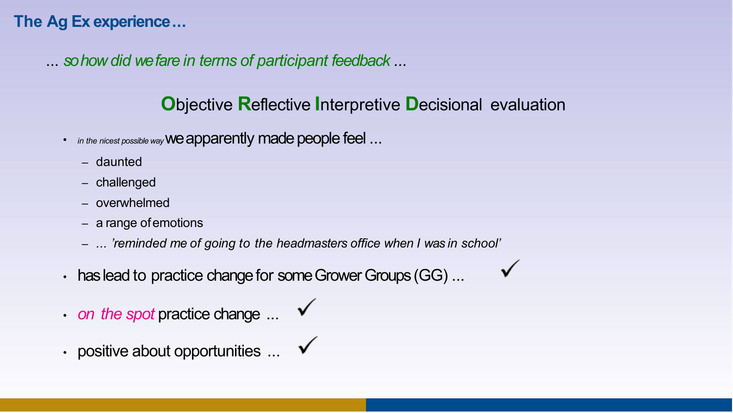... *so how did we fare in terms of participant feedback ...*

# **O**bjective **R**eflective **I**nterpretive **D**ecisional evaluation

 $\checkmark$ 

- *in the nicest possible way* we apparently made people feel ...
	- daunted
	- challenged
	- overwhelmed
	- a range ofemotions
	- *... 'reminded me of going to the headmasters office when I was in school'*
- has lead to practice change for some Grower Groups (GG) ...
- $\cdot$  *on the spot* practice change  $\ldots$
- positive about opportunities  $\ldots$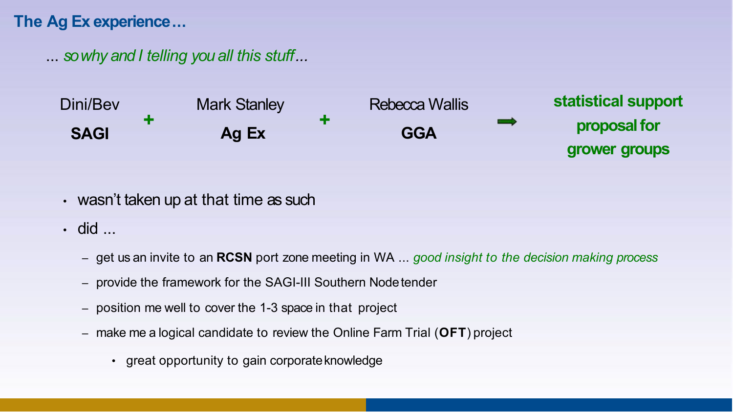... *so why and I telling you all this stuff...*



- $\cdot$  wasn't taken up at that time as such
- did ...
	- get us an invite to an **RCSN** port zone meeting in WA ... *good insight to the decision making process*
	- provide the framework for the SAGI-III Southern Nodetender
	- position me well to cover the 1-3 space in that project
	- make me a logical candidate to review the Online Farm Trial (**OFT**) project
		- great opportunity to gain corporateknowledge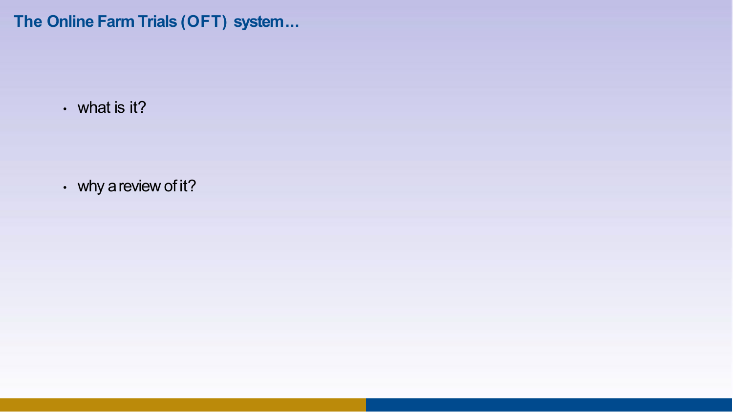**The Online Farm Trials (OFT) system...**

• what is it?

• why a review of it?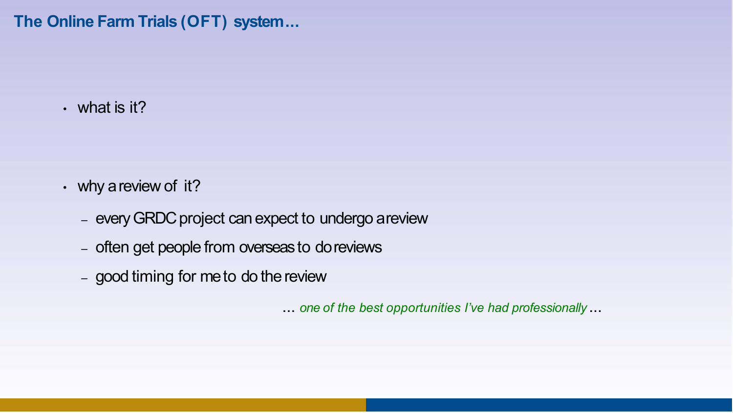**The Online Farm Trials (OFT) system...**

• what is it?

- why a review of it?
	- every GRDC project can expect to undergo areview
	- often get people from overseas to doreviews
	- $-$  good timing for me to do the review

... *one of the best opportunities I've had professionally* ...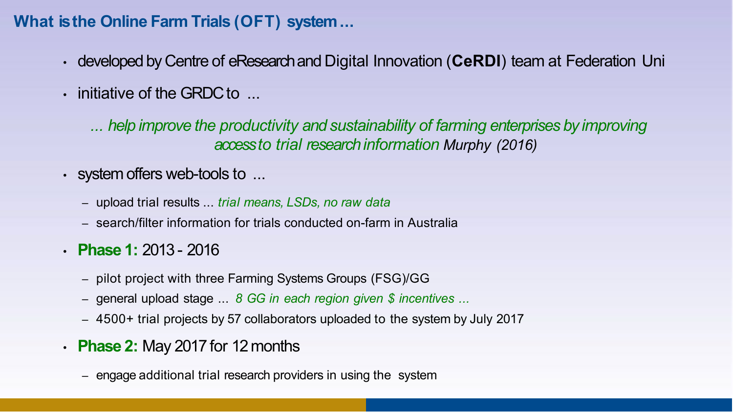## **What is the Online Farm Trials (OFT) system...**

- developed by Centre of eResearch and Digital Innovation (**CeRDI**) team at Federation Uni
- initiative of the GRDC to ...

*... help improve the productivity and sustainability of farming enterprises by improving access to trial research information Murphy (2016)*

- system offers web-tools to ...
	- upload trial results ... *trial means, LSDs, no raw data*
	- search/filter information for trials conducted on-farm in Australia
- **Phase 1:** 2013 2016
	- pilot project with three Farming Systems Groups (FSG)/GG
	- general upload stage ... *8 GG in each region given \$ incentives ...*
	- 4500+ trial projects by 57 collaborators uploaded to the system by July 2017
- **Phase 2:** May 2017 for 12months
	- engage additional trial research providers in using the system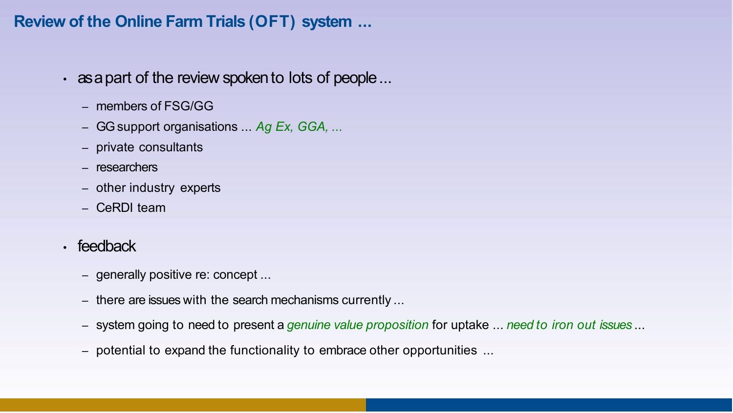### **Review of the Online Farm Trials (OFT) system ...**

- as a part of the review spoken to lots of people...
	- members of FSG/GG
	- GG support organisations ... *Ag Ex, GGA, ...*
	- private consultants
	- researchers
	- other industry experts
	- CeRDI team
- feedback
	- generally positive re: concept ...
	- there are issues with the search mechanisms currently ...
	- system going to need to present a *genuine value proposition* for uptake ... *need to iron out issues* ...
	- potential to expand the functionality to embrace other opportunities ...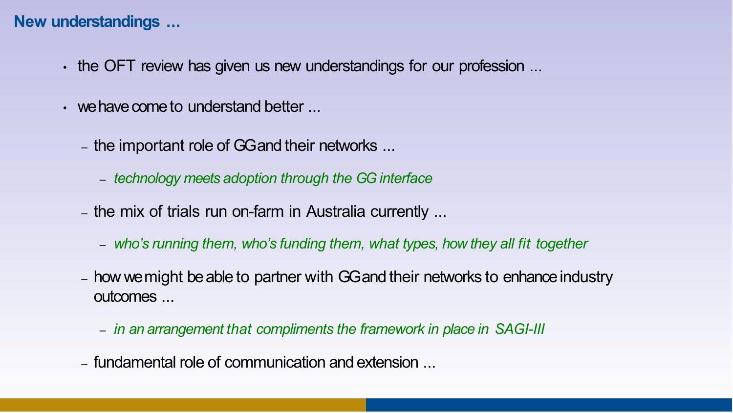#### **New understandings ...**

- the OFT review has given us new understandings for our profession ...
- we have come to understand better
	- the important role of GG and their networks ...
		- *technology meets adoption through the GG interface*
	- the mix of trials run on-farm in Australia currently ...
		- *who's running them, who's funding them, what types, how they all fit together*
	- how we might be able to partner with GG and their networks to enhance industry outcomes ...
		- *in an arrangement that compliments the framework in place in SAGI-III*
	- fundamental role of communication and extension ...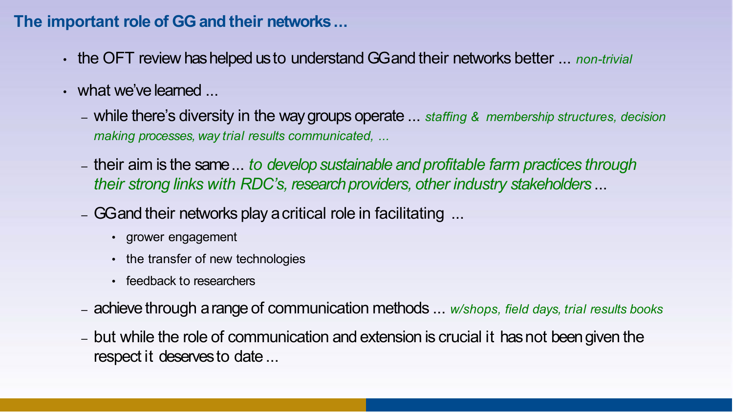#### **The important role of GG and their networks...**

- the OFT review has helped us to understand GG and their networks better ... *non-trivial*
- what we've learned ...
	- while there's diversity in the way groups operate ... *staffing & membership structures, decision making processes, way trial results communicated, ...*
	- their aim is the same ... *to develop sustainable and profitable farm practices through their strong links with RDC's, research providers, other industry stakeholders* ...
	- GG and their networks play a critical role in facilitating ...
		- grower engagement
		- the transfer of new technologies
		- feedback to researchers
	- achieve through a range of communication methods ... *w/shops, field days, trial results books*
	- but while the role of communication and extension is crucial it has not been given the respect it deserves to date...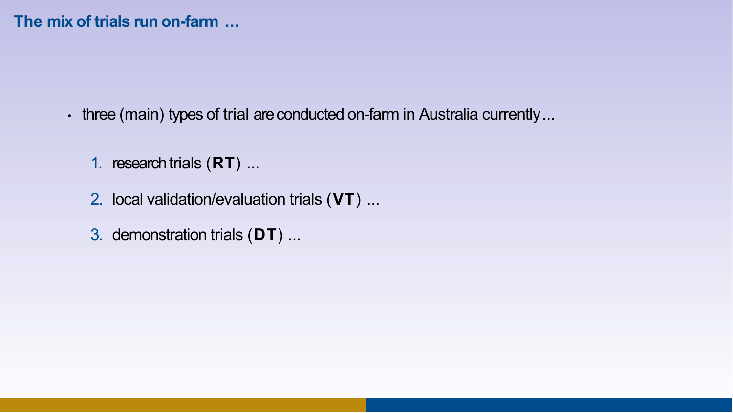- three (main) types of trial are conducted on-farm in Australia currently...
	- 1. research trials (**RT**) ...
	- 2. local validation/evaluation trials (**VT**) ...
	- 3. demonstration trials (**DT**) ...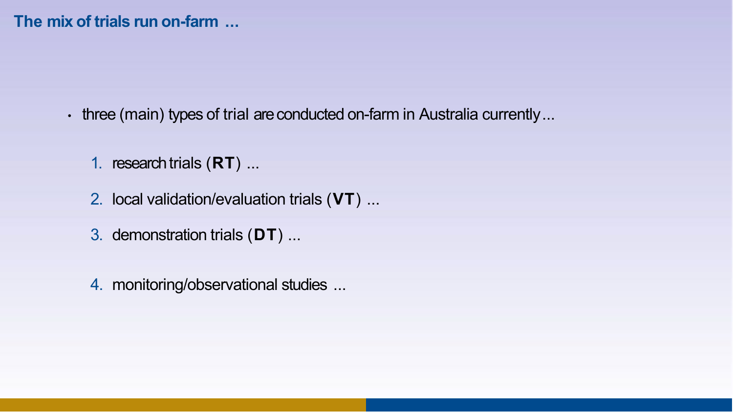- three (main) types of trial are conducted on-farm in Australia currently...
	- 1. research trials (**RT**) ...
	- 2. local validation/evaluation trials (**VT**) ...
	- 3. demonstration trials (**DT**) ...
	- 4. monitoring/observational studies ...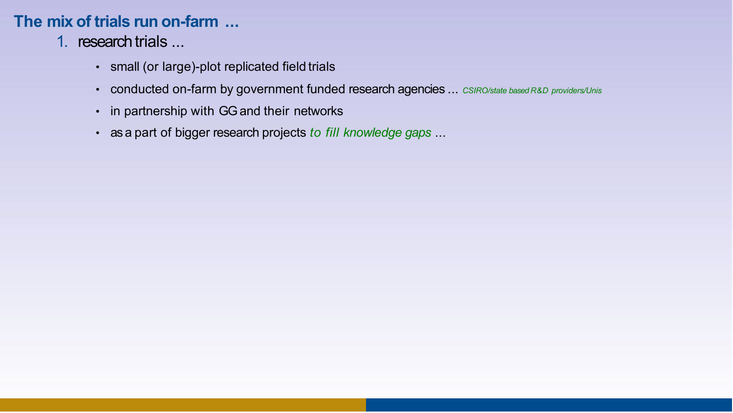- 1. research trials ...
	- small (or large)-plot replicated field trials
	- conducted on-farm by government funded research agencies ... *CSIRO/state based R&D providers/Unis*
	- in partnership with GG and their networks
	- as a part of bigger research projects *to fill knowledge gaps* ...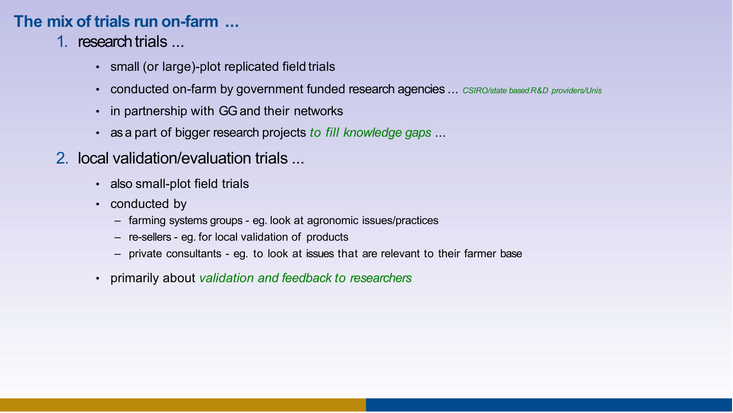- 1. research trials ...
	- small (or large)-plot replicated field trials
	- conducted on-farm by government funded research agencies ... *CSIRO/state based R&D providers/Unis*
	- in partnership with GG and their networks
	- as a part of bigger research projects *to fill knowledge gaps* ...
- 2. local validation/evaluation trials ...
	- also small-plot field trials
	- conducted by
		- farming systems groups eg. look at agronomic issues/practices
		- re-sellers eg. for local validation of products
		- private consultants eg. to look at issues that are relevant to their farmer base
	- primarily about *validation and feedback to researchers*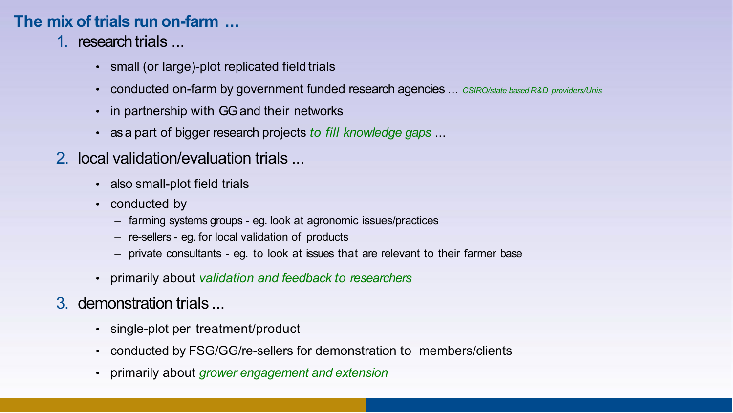- 1. research trials ...
	- small (or large)-plot replicated field trials
	- conducted on-farm by government funded research agencies ... *CSIRO/state based R&D providers/Unis*
	- in partnership with GG and their networks
	- as a part of bigger research projects *to fill knowledge gaps* ...
- 2. local validation/evaluation trials ...
	- also small-plot field trials
	- conducted by
		- farming systems groups eg. look at agronomic issues/practices
		- re-sellers eg. for local validation of products
		- private consultants eg. to look at issues that are relevant to their farmer base
	- primarily about *validation and feedback to researchers*
- 3. demonstration trials ...
	- single-plot per treatment/product
	- conducted by FSG/GG/re-sellers for demonstration to members/clients
	- primarily about *grower engagement and extension*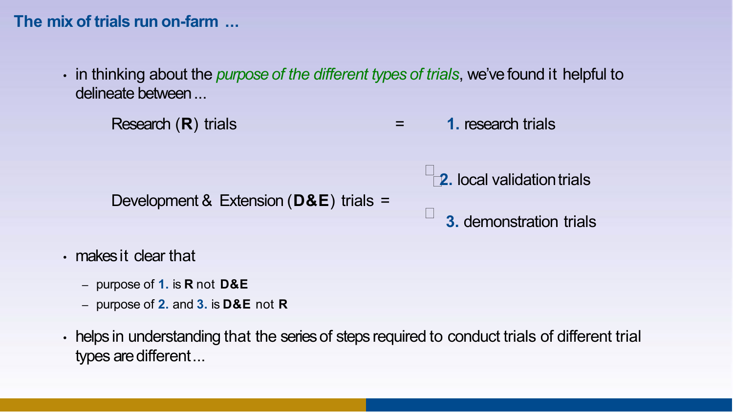- in thinking about the *purpose of the different types of trials*, we've found it helpful to delineate between...
	- Research (**R**) trials = **1.** research trials

Development & Extension (**D&E**) trials =

- **2.** local validation trials
- **3.** demonstration trials

- makes it clear that
	- purpose of **1.** is **R** not **D&E**
	- purpose of **2.** and **3.** is **D&E** not **R**
- helps in understanding that the series of steps required to conduct trials of different trial types are different...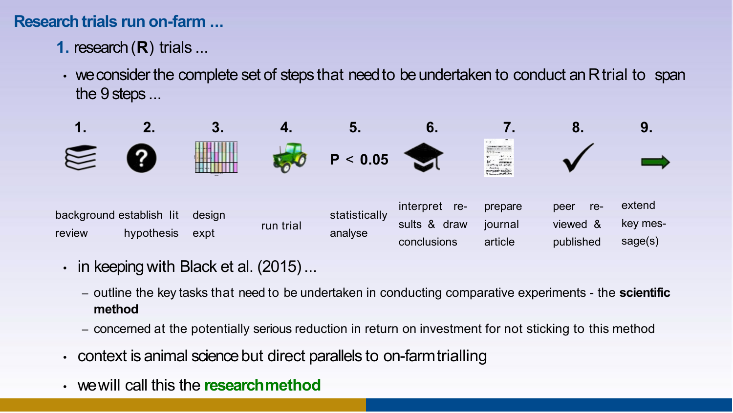### **Research trials run on-farm ...**

- **1.** research (**R**) trials ...
- we consider the complete set of steps that need to be undertaken to conduct an R trial to span the  $9$  steps  $\ldots$



- $\cdot$  in keeping with Black et al. (2015)...
	- outline the key tasks that need to be undertaken in conducting comparative experiments the **scientific method**
	- concerned at the potentially serious reduction in return on investment for not sticking to this method
- context is animal science but direct parallels to on-farmtrialling
- we will call this the **researchmethod**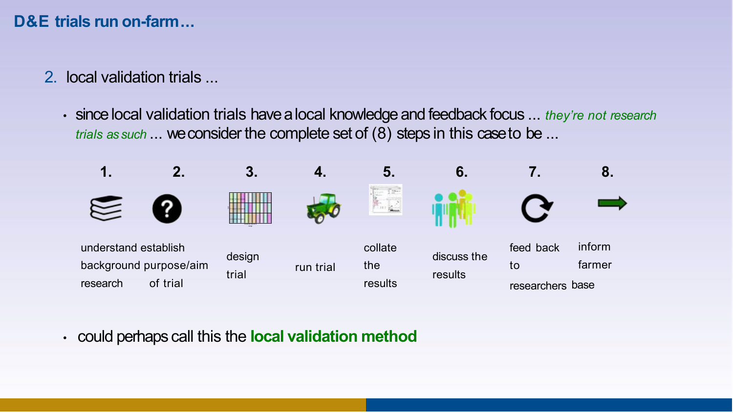### **D&E trials run on-farm...**

- 2. local validation trials ...
	- since local validation trials have a local knowledge and feedback focus ... *they're not research trials as such* ... we consider the complete set of (8) steps in this case to be ...



• could perhaps call this the **local validation method**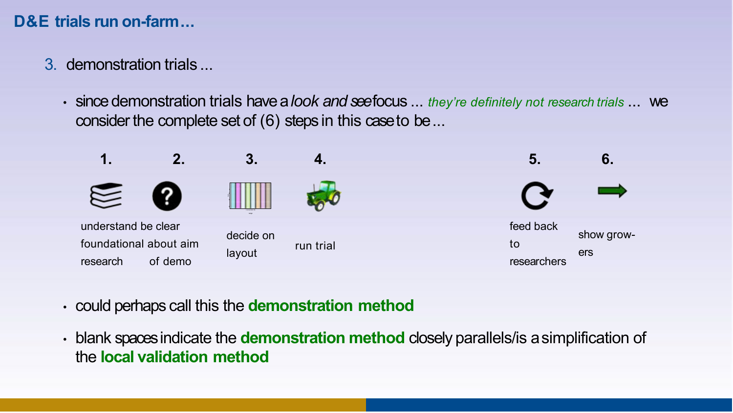### **D&E trials run on-farm...**

- 3. demonstration trials ...
	- since demonstration trials have a *look and see* focus ... *they're definitely not research trials* ... we consider the complete set of (6) steps in this case to be...



- could perhaps call this the **demonstration method**
- blank spaces indicate the **demonstration method** closely parallels/is a simplification of the **local validation method**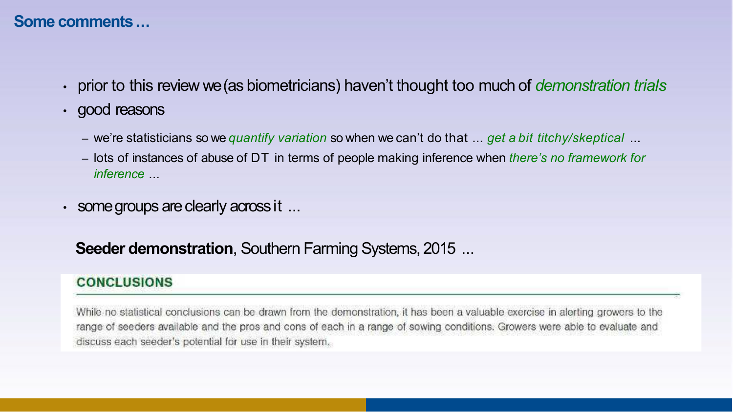#### **Some comments...**

- prior to this review we (as biometricians) haven't thought too much of *demonstration trials*
- good reasons
	- we're statisticians so we *quantify variation* so when we can't do that ... *get a bit titchy/skeptical* ...
	- lots of instances of abuse of DT in terms of people making inference when *there's no framework for inference* ...
- some groups are clearly across it ...

**Seeder demonstration, Southern Farming Systems, 2015 ...** 

#### **CONCLUSIONS**

While no statistical conclusions can be drawn from the demonstration, it has been a valuable exercise in alerting provers to the range of seeders available and the pros and cons of each in a range of sowing conditions. Growers were able to evaluate and discuss each seeder's potential for use in their system.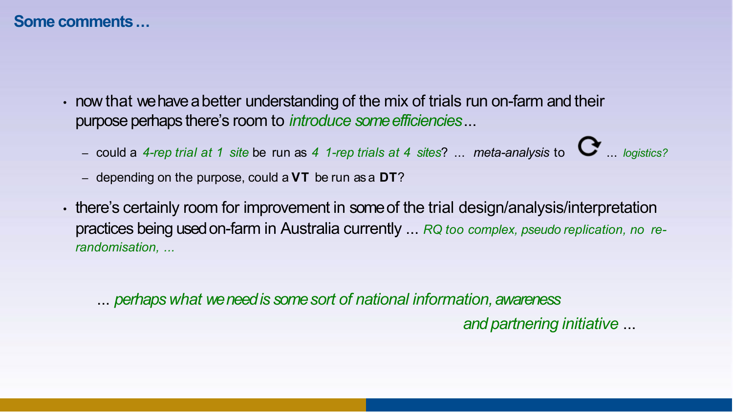#### **Some comments...**

- now that we have a better understanding of the mix of trials run on-farm and their purpose perhaps there's room to *introduce some efficiencies*...
	- could a *4-rep trial at 1 site* be run as *4 1-rep trials at 4 sites*? ... *meta-analysis* to ... *logistics?*
	- depending on the purpose, could a **VT** be run as a **DT**?
- there's certainly room for improvement in some of the trial design/analysis/interpretation practices being used on-farm in Australia currently ... *RQ too complex, pseudo replication, no rerandomisation, ...*

... *perhaps what we need is some sort of national information, awareness* 

*and partnering initiative* ...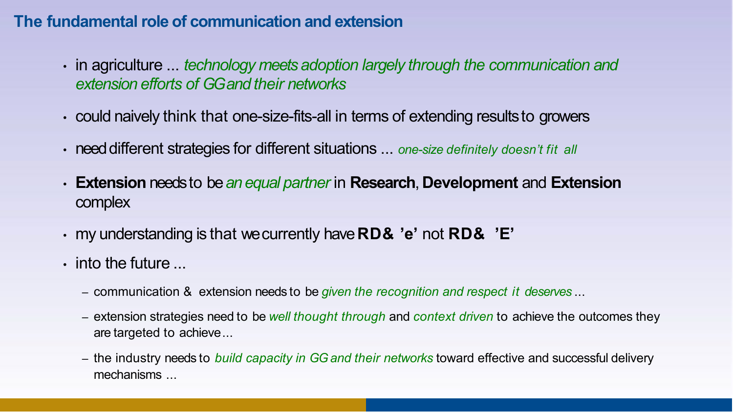#### **The fundamental role of communication and extension**

- in agriculture ... *technology meets adoption largely through the communication and extension efforts of GG and their networks*
- could naively think that one-size-fits-all in terms of extending resultsto growers
- need different strategies for different situations ... *one-size definitely doesn't fit all*
- **Extension** needs to be *an equal partner* in **Research**, **Development** and **Extension** complex
- my understanding is that we currently have **RD& 'e'** not **RD& 'E'**
- $\cdot$  into the future  $\ldots$ 
	- communication & extension needs to be *given the recognition and respect it deserves* ...
	- extension strategies need to be *well thought through* and *context driven* to achieve the outcomes they are targeted to achieve...
	- the industry needs to *build capacity in GG and their networks* toward effective and successful delivery mechanisms ...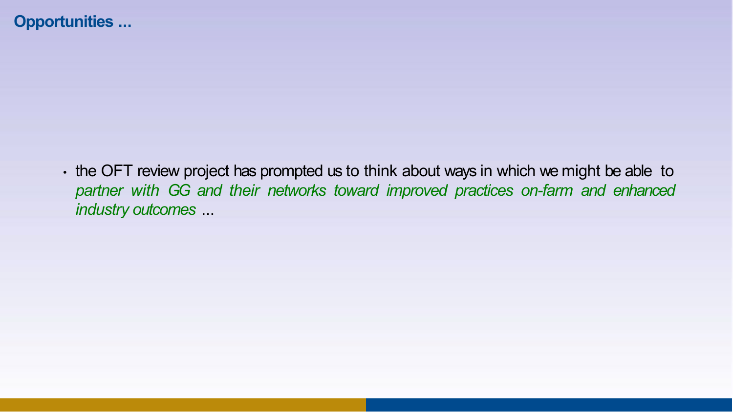• the OFT review project has prompted us to think about ways in which we might be able to *partner with GG and their networks toward improved practices on-farm and enhanced industry outcomes* ...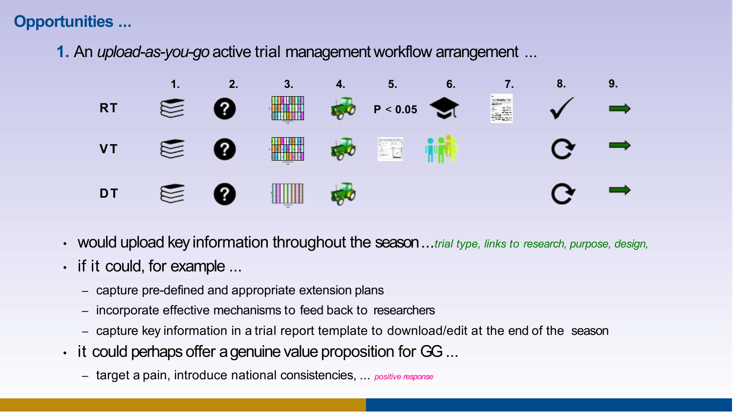**1.** An *upload-as-you-go* active trial management workflow arrangement ...



- would upload key information throughout the season ...*trial type, links to research, purpose, design,*
- if it could, for example ...
	- capture pre-defined and appropriate extension plans
	- incorporate effective mechanisms to feed back to researchers
	- capture key information in a trial report template to download/edit at the end of the season
- it could perhaps offer a genuine value proposition for GG...
	- target a pain, introduce national consistencies, ... *positive response*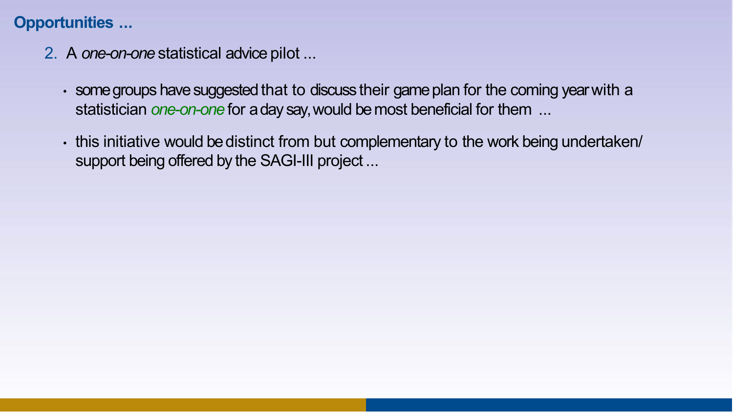- 2. A *one-on-one* statistical advice pilot ...
	- some groups have suggested that to discuss their game plan for the coming year with a statistician *one-on-one* for a day say, would be most beneficial for them ...
	- this initiative would be distinct from but complementary to the work being undertaken/ support being offered by the SAGI-III project ...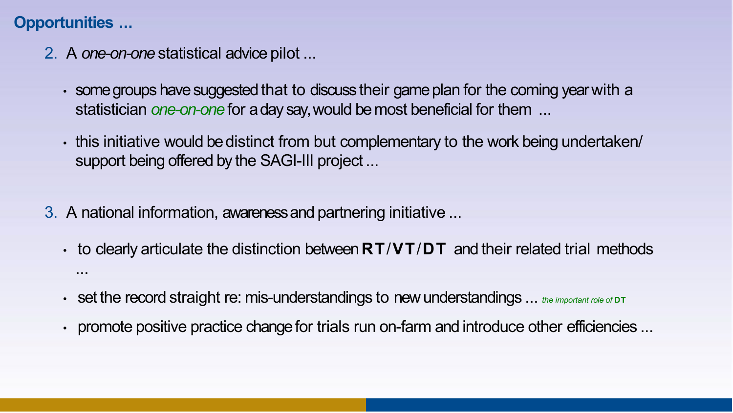- 2. A *one-on-one* statistical advice pilot ...
	- some groups have suggested that to discuss their game plan for the coming year with a statistician *one-on-one* for a day say, would be most beneficial for them ...
	- this initiative would be distinct from but complementary to the work being undertaken/ support being offered by the SAGI-III project ...
- 3. A national information, awareness and partnering initiative ...
	- to clearly articulate the distinction between **RT**/**VT**/**DT** and their related trial methods ...
	- set the record straight re: mis-understandings to new understandings ... *the important role of* **DT**
	- promote positive practice change for trials run on-farm and introduce other efficiencies ...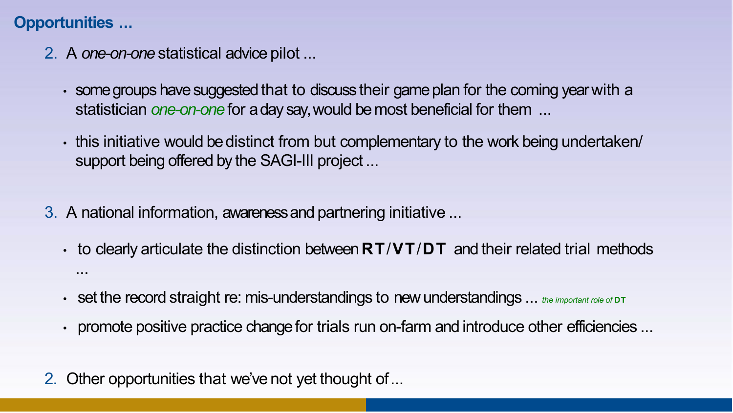- 2. A *one-on-one* statistical advice pilot ...
	- some groups have suggested that to discuss their game plan for the coming year with a statistician *one-on-one* for a day say, would be most beneficial for them ...
	- this initiative would be distinct from but complementary to the work being undertaken/ support being offered by the SAGI-III project ...
- 3. A national information, awareness and partnering initiative ...
	- to clearly articulate the distinction between **RT**/**VT**/**DT** and their related trial methods ...
	- set the record straight re: mis-understandings to new understandings ... *the important role of* **DT**
	- promote positive practice change for trials run on-farm and introduce other efficiencies ...
- 2. Other opportunities that we've not yet thought of...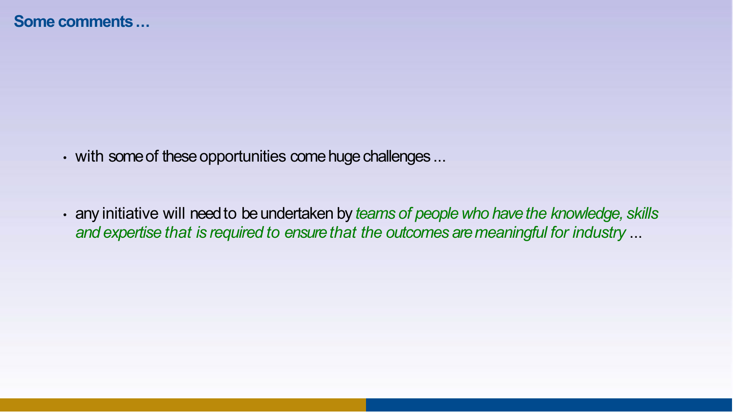• with some of these opportunities come huge challenges ...

• any initiative will need to be undertaken by *teams of people who have the knowledge, skills and expertise that is required to ensure that the outcomes aremeaningful for industry* ...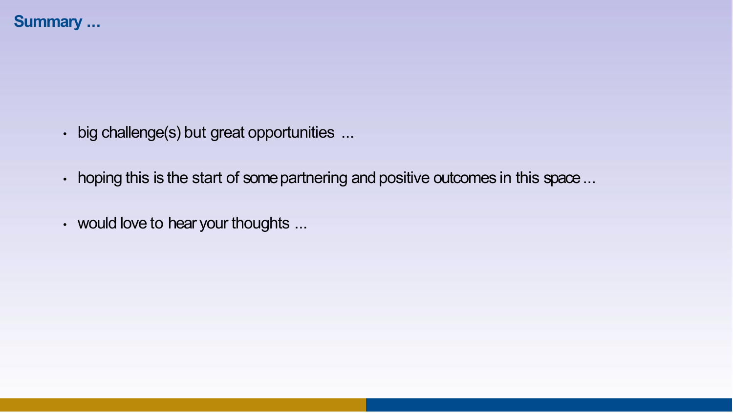#### **Summary ...**

- big challenge(s) but great opportunities ...
- hoping this is the start of some partnering and positive outcomes in this space...
- would love to hear your thoughts ...